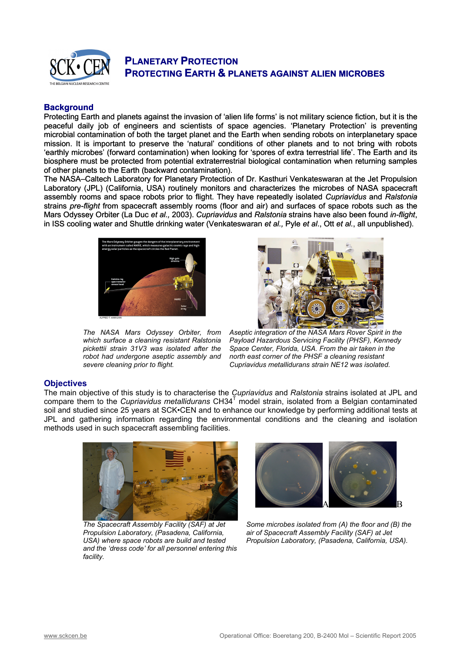

# **Background**

Protecting Earth and planets against the invasion of 'alien life forms' is not military science fiction, but it is the peaceful daily job of engineers and scientists of space agencies. 'Planetary Protection' is preventing microbial contamination of both the target planet and the Earth when sending robots on interplanetary space mission. It is important to preserve the 'natural' conditions of other planets and to not bring with robots 'earthly microbes' (forward contamination) when looking for 'spores of extra terrestrial life'. The Earth and its biosphere must be protected from potential [extraterrestrial](http://en.wikipedia.org/wiki/Extraterrestrial) biological contamination when returning samples of other planets to the Earth (backward contamination).

The NASA–Caltech Laboratory for Planetary Protection of Dr. Kasthuri Venkateswaran at the Jet Propulsion Laboratory (JPL) (California, USA) routinely monitors and characterizes the microbes of NASA spacecraft assembly rooms and space robots prior to flight. They have repeatedly isolated *Cupriavidus* and *Ralstonia* strains *pre-flight* from spacecraft assembly rooms (floor and air) and surfaces of space robots such as the Mars Odyssey Orbiter (La Duc *et al.,* 2003). *Cupriavidus* and *Ralstonia* strains have also been found *in-flight*, in ISS cooling water and Shuttle drinking water (Venkateswaran *et al.,* Pyle *et al*., Ott *et al.*, all unpublished).



*The NASA Mars Odyssey Orbiter, from which surface a cleaning resistant Ralstonia pickettii strain 31V3 was isolated after the robot had undergone aseptic assembly and severe cleaning prior to flight.*



*Aseptic integration of the NASA Mars Rover Spirit in the Payload Hazardous Servicing Facility (PHSF), Kennedy Space Center, Florida, USA. From the air taken in the north east corner of the PHSF a cleaning resistant Cupriavidus metallidurans strain NE12 was isolated.* 

## **Objectives**

The main objective of this study is to characterise the *Cupriavidus* and *Ralstonia* strains isolated at JPL and compare them to the *Cupriavidus metallidurans* CH34<sup>T</sup> model strain, isolated from a Belgian contaminated soil and studied since 25 years at SCK•CEN and to enhance our knowledge by performing additional tests at JPL and gathering information regarding the environmental conditions and the cleaning and isolation methods used in such spacecraft assembling facilities.



*The Spacecraft Assembly Facility (SAF) at Jet Propulsion Laboratory, (Pasadena, California, USA) where space robots are build and tested and the 'dress code' for all personnel entering this facility.* 



*Some microbes isolated from (A) the floor and (B) the air of Spacecraft Assembly Facility (SAF) at Jet Propulsion Laboratory, (Pasadena, California, USA).*